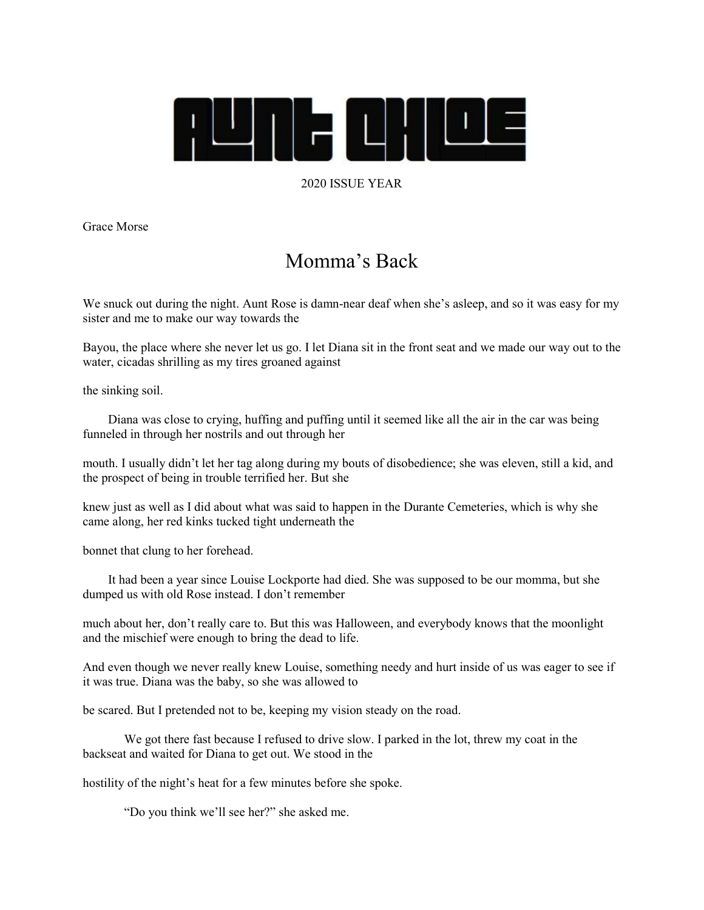

## 2020 ISSUE YEAR

Grace Morse

## Momma's Back

We snuck out during the night. Aunt Rose is damn-near deaf when she's asleep, and so it was easy for my sister and me to make our way towards the

Bayou, the place where she never let us go. I let Diana sit in the front seat and we made our way out to the water, cicadas shrilling as my tires groaned against

the sinking soil.

 Diana was close to crying, huffing and puffing until it seemed like all the air in the car was being funneled in through her nostrils and out through her

mouth. I usually didn't let her tag along during my bouts of disobedience; she was eleven, still a kid, and the prospect of being in trouble terrified her. But she

knew just as well as I did about what was said to happen in the Durante Cemeteries, which is why she came along, her red kinks tucked tight underneath the

bonnet that clung to her forehead.

 It had been a year since Louise Lockporte had died. She was supposed to be our momma, but she dumped us with old Rose instead. I don't remember

much about her, don't really care to. But this was Halloween, and everybody knows that the moonlight and the mischief were enough to bring the dead to life.

And even though we never really knew Louise, something needy and hurt inside of us was eager to see if it was true. Diana was the baby, so she was allowed to

be scared. But I pretended not to be, keeping my vision steady on the road.

We got there fast because I refused to drive slow. I parked in the lot, threw my coat in the backseat and waited for Diana to get out. We stood in the

hostility of the night's heat for a few minutes before she spoke.

"Do you think we'll see her?" she asked me.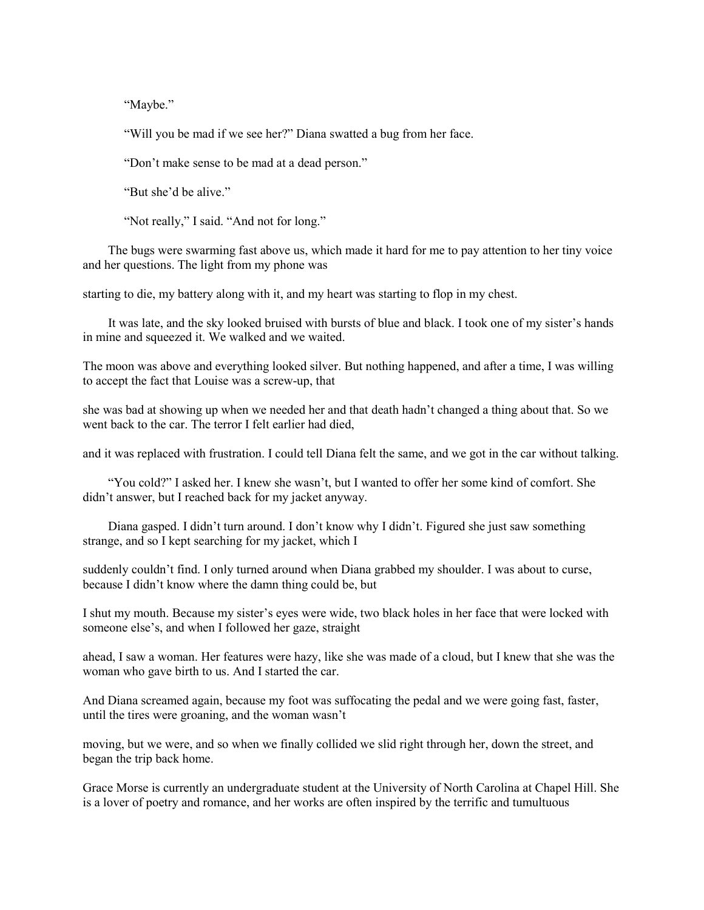"Maybe."

"Will you be mad if we see her?" Diana swatted a bug from her face.

"Don't make sense to be mad at a dead person."

"But she'd be alive."

"Not really," I said. "And not for long."

 The bugs were swarming fast above us, which made it hard for me to pay attention to her tiny voice and her questions. The light from my phone was

starting to die, my battery along with it, and my heart was starting to flop in my chest.

 It was late, and the sky looked bruised with bursts of blue and black. I took one of my sister's hands in mine and squeezed it. We walked and we waited.

The moon was above and everything looked silver. But nothing happened, and after a time, I was willing to accept the fact that Louise was a screw-up, that

she was bad at showing up when we needed her and that death hadn't changed a thing about that. So we went back to the car. The terror I felt earlier had died,

and it was replaced with frustration. I could tell Diana felt the same, and we got in the car without talking.

 "You cold?" I asked her. I knew she wasn't, but I wanted to offer her some kind of comfort. She didn't answer, but I reached back for my jacket anyway.

 Diana gasped. I didn't turn around. I don't know why I didn't. Figured she just saw something strange, and so I kept searching for my jacket, which I

suddenly couldn't find. I only turned around when Diana grabbed my shoulder. I was about to curse, because I didn't know where the damn thing could be, but

I shut my mouth. Because my sister's eyes were wide, two black holes in her face that were locked with someone else's, and when I followed her gaze, straight

ahead, I saw a woman. Her features were hazy, like she was made of a cloud, but I knew that she was the woman who gave birth to us. And I started the car.

And Diana screamed again, because my foot was suffocating the pedal and we were going fast, faster, until the tires were groaning, and the woman wasn't

moving, but we were, and so when we finally collided we slid right through her, down the street, and began the trip back home.

Grace Morse is currently an undergraduate student at the University of North Carolina at Chapel Hill. She is a lover of poetry and romance, and her works are often inspired by the terrific and tumultuous